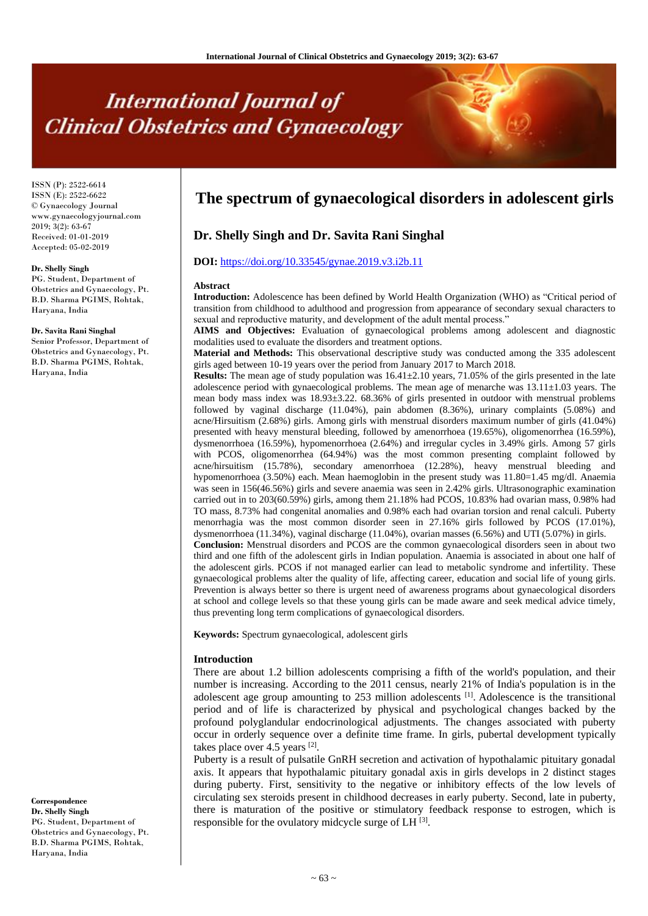# **International Journal of Clinical Obstetrics and Gynaecology**

ISSN (P): 2522-6614 ISSN (E): 2522-6622 © Gynaecology Journal www.gynaecologyjournal.com  $2019$ ;  $3(2)$ : 63-67 Received: 01-01-2019 Accepted: 05-02-2019

#### **Dr. Shelly Singh**

PG. Student, Department of Obstetrics and Gynaecology, Pt. B.D. Sharma PGIMS, Rohtak, Haryana, India

#### **Dr. Savita Rani Singhal**

Senior Professor, Department of Obstetrics and Gynaecology, Pt. B.D. Sharma PGIMS, Rohtak, Haryana, India

**Correspondence Dr. Shelly Singh**

PG. Student, Department of Obstetrics and Gynaecology, Pt. B.D. Sharma PGIMS, Rohtak, Haryana, India

## **The spectrum of gynaecological disorders in adolescent girls**

## **Dr. Shelly Singh and Dr. Savita Rani Singhal**

## **DOI:** <https://doi.org/10.33545/gynae.2019.v3.i2b.11>

#### **Abstract**

**Introduction:** Adolescence has been defined by World Health Organization (WHO) as "Critical period of transition from childhood to adulthood and progression from appearance of secondary sexual characters to sexual and reproductive maturity, and development of the adult mental process."

**AIMS and Objectives:** Evaluation of gynaecological problems among adolescent and diagnostic modalities used to evaluate the disorders and treatment options.

**Material and Methods:** This observational descriptive study was conducted among the 335 adolescent girls aged between 10-19 years over the period from January 2017 to March 2018.

**Results:** The mean age of study population was  $16.41 \pm 2.10$  years, 71.05% of the girls presented in the late adolescence period with gynaecological problems. The mean age of menarche was  $13.11\pm1.03$  years. The mean body mass index was 18.93±3.22. 68.36% of girls presented in outdoor with menstrual problems followed by vaginal discharge (11.04%), pain abdomen (8.36%), urinary complaints (5.08%) and acne/Hirsuitism (2.68%) girls. Among girls with menstrual disorders maximum number of girls (41.04%) presented with heavy menstural bleeding, followed by amenorrhoea (19.65%), oligomenorrhea (16.59%), dysmenorrhoea (16.59%), hypomenorrhoea (2.64%) and irregular cycles in 3.49% girls. Among 57 girls with PCOS, oligomenorrhea (64.94%) was the most common presenting complaint followed by acne/hirsuitism (15.78%), secondary amenorrhoea (12.28%), heavy menstrual bleeding and hypomenorrhoea (3.50%) each. Mean haemoglobin in the present study was 11.80=1.45 mg/dl. Anaemia was seen in 156(46.56%) girls and severe anaemia was seen in 2.42% girls. Ultrasonographic examination carried out in to 203(60.59%) girls, among them 21.18% had PCOS, 10.83% had ovarian mass, 0.98% had TO mass, 8.73% had congenital anomalies and 0.98% each had ovarian torsion and renal calculi. Puberty menorrhagia was the most common disorder seen in 27.16% girls followed by PCOS (17.01%), dysmenorrhoea (11.34%), vaginal discharge (11.04%), ovarian masses (6.56%) and UTI (5.07%) in girls. **Conclusion:** Menstrual disorders and PCOS are the common gynaecological disorders seen in about two third and one fifth of the adolescent girls in Indian population. Anaemia is associated in about one half of the adolescent girls. PCOS if not managed earlier can lead to metabolic syndrome and infertility. These gynaecological problems alter the quality of life, affecting career, education and social life of young girls. Prevention is always better so there is urgent need of awareness programs about gynaecological disorders at school and college levels so that these young girls can be made aware and seek medical advice timely, thus preventing long term complications of gynaecological disorders.

**Keywords:** Spectrum gynaecological, adolescent girls

#### **Introduction**

There are about 1.2 billion adolescents comprising a fifth of the world's population, and their number is increasing. According to the 2011 census, nearly 21% of India's population is in the adolescent age group amounting to 253 million adolescents <sup>[1]</sup>. Adolescence is the transitional period and of life is characterized by physical and psychological changes backed by the profound polyglandular endocrinological adjustments. The changes associated with puberty occur in orderly sequence over a definite time frame. In girls, pubertal development typically takes place over 4.5 years  $^{[2]}$ .

Puberty is a result of pulsatile GnRH secretion and activation of hypothalamic pituitary gonadal axis. It appears that hypothalamic pituitary gonadal axis in girls develops in 2 distinct stages during puberty. First, sensitivity to the negative or inhibitory effects of the low levels of circulating sex steroids present in childhood decreases in early puberty. Second, late in puberty, there is maturation of the positive or stimulatory feedback response to estrogen, which is responsible for the ovulatory midcycle surge of LH <a>[3]</a>.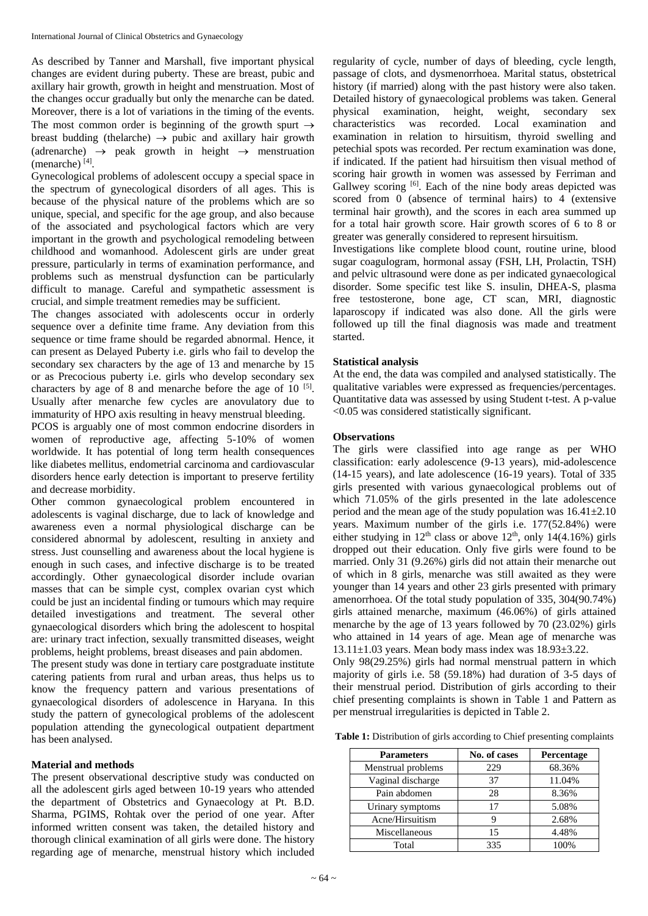As described by Tanner and Marshall, five important physical changes are evident during puberty. These are breast, pubic and axillary hair growth, growth in height and menstruation. Most of the changes occur gradually but only the menarche can be dated. Moreover, there is a lot of variations in the timing of the events. The most common order is beginning of the growth spurt  $\rightarrow$ breast budding (the larche)  $\rightarrow$  pubic and axillary hair growth (adrenarche)  $\rightarrow$  peak growth in height  $\rightarrow$  menstruation (menarche) [4] .

Gynecological problems of adolescent occupy a special space in the spectrum of gynecological disorders of all ages. This is because of the physical nature of the problems which are so unique, special, and specific for the age group, and also because of the associated and psychological factors which are very important in the growth and psychological remodeling between childhood and womanhood. Adolescent girls are under great pressure, particularly in terms of examination performance, and problems such as menstrual dysfunction can be particularly difficult to manage. Careful and sympathetic assessment is crucial, and simple treatment remedies may be sufficient.

The changes associated with adolescents occur in orderly sequence over a definite time frame. Any deviation from this sequence or time frame should be regarded abnormal. Hence, it can present as Delayed Puberty i.e. girls who fail to develop the secondary sex characters by the age of 13 and menarche by 15 or as Precocious puberty i.e. girls who develop secondary sex characters by age of  $8$  and menarche before the age of  $10^{-[5]}$ . Usually after menarche few cycles are anovulatory due to immaturity of HPO axis resulting in heavy menstrual bleeding.

PCOS is arguably one of most common endocrine disorders in women of reproductive age, affecting 5-10% of women worldwide. It has potential of long term health consequences like diabetes mellitus, endometrial carcinoma and cardiovascular disorders hence early detection is important to preserve fertility and decrease morbidity.

Other common gynaecological problem encountered in adolescents is vaginal discharge, due to lack of knowledge and awareness even a normal physiological discharge can be considered abnormal by adolescent, resulting in anxiety and stress. Just counselling and awareness about the local hygiene is enough in such cases, and infective discharge is to be treated accordingly. Other gynaecological disorder include ovarian masses that can be simple cyst, complex ovarian cyst which could be just an incidental finding or tumours which may require detailed investigations and treatment. The several other gynaecological disorders which bring the adolescent to hospital are: urinary tract infection, sexually transmitted diseases, weight problems, height problems, breast diseases and pain abdomen.

The present study was done in tertiary care postgraduate institute catering patients from rural and urban areas, thus helps us to know the frequency pattern and various presentations of gynaecological disorders of adolescence in Haryana. In this study the pattern of gynecological problems of the adolescent population attending the gynecological outpatient department has been analysed.

#### **Material and methods**

The present observational descriptive study was conducted on all the adolescent girls aged between 10-19 years who attended the department of Obstetrics and Gynaecology at Pt. B.D. Sharma, PGIMS, Rohtak over the period of one year. After informed written consent was taken, the detailed history and thorough clinical examination of all girls were done. The history regarding age of menarche, menstrual history which included regularity of cycle, number of days of bleeding, cycle length, passage of clots, and dysmenorrhoea. Marital status, obstetrical history (if married) along with the past history were also taken. Detailed history of gynaecological problems was taken. General physical examination, height, weight, secondary sex characteristics was recorded. Local examination and examination in relation to hirsuitism, thyroid swelling and petechial spots was recorded. Per rectum examination was done, if indicated. If the patient had hirsuitism then visual method of scoring hair growth in women was assessed by Ferriman and Gallwey scoring  $[6]$ . Each of the nine body areas depicted was scored from 0 (absence of terminal hairs) to 4 (extensive terminal hair growth), and the scores in each area summed up for a total hair growth score. Hair growth scores of 6 to 8 or greater was generally considered to represent hirsuitism.

Investigations like complete blood count, routine urine, blood sugar coagulogram, hormonal assay (FSH, LH, Prolactin, TSH) and pelvic ultrasound were done as per indicated gynaecological disorder. Some specific test like S. insulin, DHEA-S, plasma free testosterone, bone age, CT scan, MRI, diagnostic laparoscopy if indicated was also done. All the girls were followed up till the final diagnosis was made and treatment started.

#### **Statistical analysis**

At the end, the data was compiled and analysed statistically. The qualitative variables were expressed as frequencies/percentages. Quantitative data was assessed by using Student t-test. A p-value <0.05 was considered statistically significant.

#### **Observations**

The girls were classified into age range as per WHO classification: early adolescence (9-13 years), mid-adolescence (14-15 years), and late adolescence (16-19 years). Total of 335 girls presented with various gynaecological problems out of which 71.05% of the girls presented in the late adolescence period and the mean age of the study population was  $16.41 \pm 2.10$ years. Maximum number of the girls i.e. 177(52.84%) were either studying in  $12<sup>th</sup>$  class or above  $12<sup>th</sup>$ , only  $14(4.16%)$  girls dropped out their education. Only five girls were found to be married. Only 31 (9.26%) girls did not attain their menarche out of which in 8 girls, menarche was still awaited as they were younger than 14 years and other 23 girls presented with primary amenorrhoea. Of the total study population of 335, 304(90.74%) girls attained menarche, maximum (46.06%) of girls attained menarche by the age of 13 years followed by 70 (23.02%) girls who attained in 14 years of age. Mean age of menarche was  $13.11\pm1.03$  years. Mean body mass index was  $18.93\pm3.22$ .

Only 98(29.25%) girls had normal menstrual pattern in which majority of girls i.e. 58 (59.18%) had duration of 3-5 days of their menstrual period. Distribution of girls according to their chief presenting complaints is shown in Table 1 and Pattern as per menstrual irregularities is depicted in Table 2.

Table 1: Distribution of girls according to Chief presenting complaints

| <b>Parameters</b>  | No. of cases | Percentage |
|--------------------|--------------|------------|
| Menstrual problems | 229          | 68.36%     |
| Vaginal discharge  | 37           | 11.04%     |
| Pain abdomen       | 28           | 8.36%      |
| Urinary symptoms   | 17           | 5.08%      |
| Acne/Hirsuitism    |              | 2.68%      |
| Miscellaneous      | 15           | 4.48%      |
| Total              | 335          | 100%       |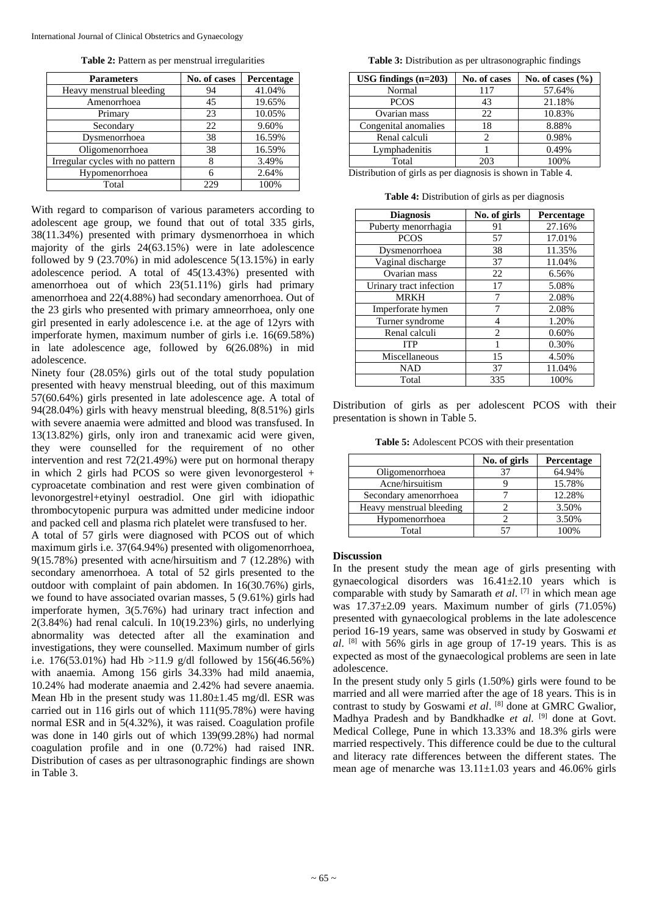**Table 2:** Pattern as per menstrual irregularities

| <b>Parameters</b>                | No. of cases | Percentage |
|----------------------------------|--------------|------------|
| Heavy menstrual bleeding         | 94           | 41.04%     |
| Amenorrhoea                      | 45           | 19.65%     |
| Primary                          | 23           | 10.05%     |
| Secondary                        | 22           | 9.60%      |
| Dysmenorrhoea                    | 38           | 16.59%     |
| Oligomenorrhoea                  | 38           | 16.59%     |
| Irregular cycles with no pattern | 8            | 3.49%      |
| Hypomenorrhoea                   | 6            | 2.64%      |
| Total                            | 229          | 100%       |

With regard to comparison of various parameters according to adolescent age group, we found that out of total 335 girls, 38(11.34%) presented with primary dysmenorrhoea in which majority of the girls 24(63.15%) were in late adolescence followed by 9  $(23.70\%)$  in mid adolescence  $5(13.15\%)$  in early adolescence period. A total of 45(13.43%) presented with amenorrhoea out of which 23(51.11%) girls had primary amenorrhoea and 22(4.88%) had secondary amenorrhoea. Out of the 23 girls who presented with primary amneorrhoea, only one girl presented in early adolescence i.e. at the age of 12yrs with imperforate hymen, maximum number of girls i.e. 16(69.58%) in late adolescence age, followed by 6(26.08%) in mid adolescence.

Ninety four (28.05%) girls out of the total study population presented with heavy menstrual bleeding, out of this maximum 57(60.64%) girls presented in late adolescence age. A total of 94(28.04%) girls with heavy menstrual bleeding, 8(8.51%) girls with severe anaemia were admitted and blood was transfused. In 13(13.82%) girls, only iron and tranexamic acid were given, they were counselled for the requirement of no other intervention and rest 72(21.49%) were put on hormonal therapy in which 2 girls had PCOS so were given levonorgesterol + cyproacetate combination and rest were given combination of levonorgestrel+etyinyl oestradiol. One girl with idiopathic thrombocytopenic purpura was admitted under medicine indoor and packed cell and plasma rich platelet were transfused to her.

A total of 57 girls were diagnosed with PCOS out of which maximum girls i.e. 37(64.94%) presented with oligomenorrhoea, 9(15.78%) presented with acne/hirsuitism and 7 (12.28%) with secondary amenorrhoea. A total of 52 girls presented to the outdoor with complaint of pain abdomen. In 16(30.76%) girls, we found to have associated ovarian masses, 5 (9.61%) girls had imperforate hymen, 3(5.76%) had urinary tract infection and 2(3.84%) had renal calculi. In 10(19.23%) girls, no underlying abnormality was detected after all the examination and investigations, they were counselled. Maximum number of girls i.e. 176(53.01%) had Hb >11.9 g/dl followed by 156(46.56%) with anaemia. Among 156 girls 34.33% had mild anaemia, 10.24% had moderate anaemia and 2.42% had severe anaemia. Mean Hb in the present study was  $11.80 \pm 1.45$  mg/dl. ESR was carried out in 116 girls out of which  $111(95.78%)$  were having normal ESR and in 5(4.32%), it was raised. Coagulation profile was done in 140 girls out of which 139(99.28%) had normal coagulation profile and in one (0.72%) had raised INR. Distribution of cases as per ultrasonographic findings are shown in Table 3.

**Table 3:** Distribution as per ultrasonographic findings

| USG findings $(n=203)$ | No. of cases | No. of cases $(\% )$ |
|------------------------|--------------|----------------------|
| Normal                 | 117          | 57.64%               |
| <b>PCOS</b>            | 43           | 21.18%               |
| Ovarian mass           | 22           | 10.83%               |
| Congenital anomalies   | 18           | 8.88%                |
| Renal calculi          |              | 0.98%                |
| Lymphadenitis          |              | 0.49%                |
| Total                  | 203          | 100%                 |

Distribution of girls as per diagnosis is shown in Table 4.

**Table 4:** Distribution of girls as per diagnosis

| <b>Diagnosis</b>        | No. of girls   | Percentage |
|-------------------------|----------------|------------|
| Puberty menorrhagia     | 91             | 27.16%     |
| <b>PCOS</b>             | 57             | 17.01%     |
| Dysmenorrhoea           | 38             | 11.35%     |
| Vaginal discharge       | 37             | 11.04%     |
| Ovarian mass            | 22             | 6.56%      |
| Urinary tract infection | 17             | 5.08%      |
| <b>MRKH</b>             |                | 2.08%      |
| Imperforate hymen       | 7              | 2.08%      |
| Turner syndrome         | 4              | 1.20%      |
| Renal calculi           | $\mathfrak{D}$ | 0.60%      |
| <b>ITP</b>              |                | 0.30%      |
| Miscellaneous           | 15             | 4.50%      |
| <b>NAD</b>              | 37             | 11.04%     |
| Total                   | 335            | 100%       |

Distribution of girls as per adolescent PCOS with their presentation is shown in Table 5.

**Table 5:** Adolescent PCOS with their presentation

|                          | No. of girls | Percentage |
|--------------------------|--------------|------------|
| Oligomenorrhoea          | 37           | 64.94%     |
| Acne/hirsuitism          |              | 15.78%     |
| Secondary amenorrhoea    |              | 12.28%     |
| Heavy menstrual bleeding |              | 3.50%      |
| Hypomenorrhoea           |              | 3.50%      |
| Total                    |              | 100%       |

### **Discussion**

In the present study the mean age of girls presenting with gynaecological disorders was 16.41±2.10 years which is comparable with study by Samarath *et al*. [7] in which mean age was 17.37±2.09 years. Maximum number of girls (71.05%) presented with gynaecological problems in the late adolescence period 16-19 years, same was observed in study by Goswami *et al*. [8] with 56% girls in age group of 17-19 years. This is as expected as most of the gynaecological problems are seen in late adolescence.

In the present study only 5 girls (1.50%) girls were found to be married and all were married after the age of 18 years. This is in contrast to study by Goswami *et al*. [8] done at GMRC Gwalior, Madhya Pradesh and by Bandkhadke et al. <sup>[9]</sup> done at Govt. Medical College, Pune in which 13.33% and 18.3% girls were married respectively. This difference could be due to the cultural and literacy rate differences between the different states. The mean age of menarche was 13.11±1.03 years and 46.06% girls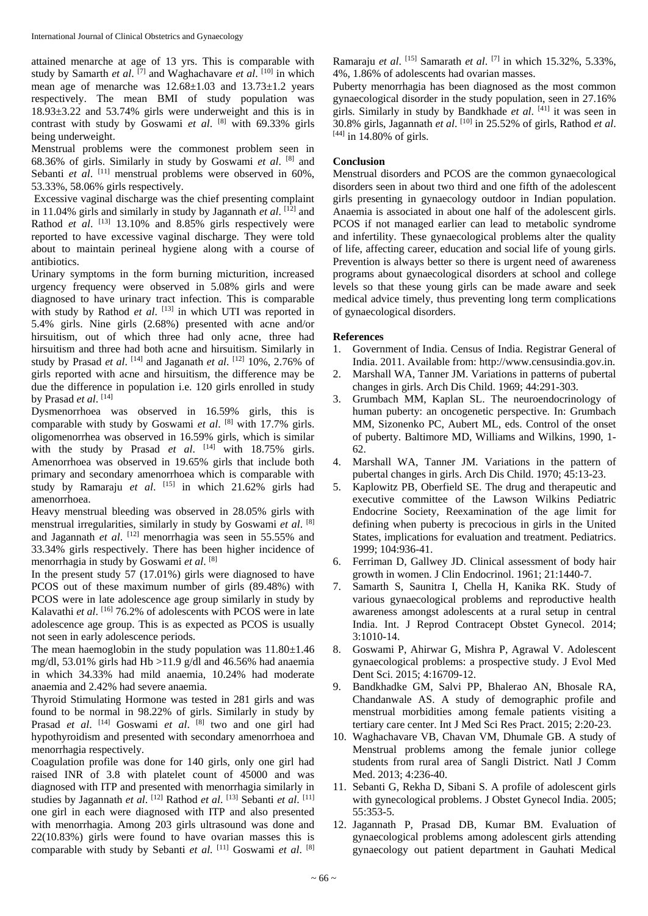attained menarche at age of 13 yrs. This is comparable with study by Samarth *et al.* <sup>[7]</sup> and Waghachavare *et al.* <sup>[10]</sup> in which mean age of menarche was  $12.68 \pm 1.03$  and  $13.73 \pm 1.2$  years respectively. The mean BMI of study population was 18.93±3.22 and 53.74% girls were underweight and this is in contrast with study by Goswami *et al*. [8] with 69.33% girls being underweight.

Menstrual problems were the commonest problem seen in 68.36% of girls. Similarly in study by Goswami *et al*. [8] and Sebanti et al. <sup>[11]</sup> menstrual problems were observed in 60%, 53.33%, 58.06% girls respectively.

Excessive vaginal discharge was the chief presenting complaint in 11.04% girls and similarly in study by Jagannath et al. [12] and Rathod *et al.* <sup>[13]</sup> 13.10% and 8.85% girls respectively were reported to have excessive vaginal discharge. They were told about to maintain perineal hygiene along with a course of antibiotics.

Urinary symptoms in the form burning micturition, increased urgency frequency were observed in 5.08% girls and were diagnosed to have urinary tract infection. This is comparable with study by Rathod et al. [13] in which UTI was reported in 5.4% girls. Nine girls (2.68%) presented with acne and/or hirsuitism, out of which three had only acne, three had hirsuitism and three had both acne and hirsuitism. Similarly in study by Prasad *et al.* <sup>[14]</sup> and Jaganath *et al.* <sup>[12]</sup> 10%, 2.76% of girls reported with acne and hirsuitism, the difference may be due the difference in population i.e. 120 girls enrolled in study by Prasad *et al*. [14]

Dysmenorrhoea was observed in 16.59% girls, this is comparable with study by Goswami *et al*. [8] with 17.7% girls. oligomenorrhea was observed in 16.59% girls, which is similar with the study by Prasad *et al.* <sup>[14]</sup> with 18.75% girls. Amenorrhoea was observed in 19.65% girls that include both primary and secondary amenorrhoea which is comparable with study by Ramaraju *et al*. [15] in which 21.62% girls had amenorrhoea.

Heavy menstrual bleeding was observed in 28.05% girls with menstrual irregularities, similarly in study by Goswami *et al*. [8] and Jagannath *et al.* <sup>[12]</sup> menorrhagia was seen in 55.55% and 33.34% girls respectively. There has been higher incidence of menorrhagia in study by Goswami *et al*. [8]

In the present study 57 (17.01%) girls were diagnosed to have PCOS out of these maximum number of girls (89.48%) with PCOS were in late adolescence age group similarly in study by Kalavathi et al. <sup>[16]</sup> 76.2% of adolescents with PCOS were in late adolescence age group. This is as expected as PCOS is usually not seen in early adolescence periods.

The mean haemoglobin in the study population was  $11.80 \pm 1.46$ mg/dl, 53.01% girls had Hb  $>11.9$  g/dl and 46.56% had anaemia in which 34.33% had mild anaemia, 10.24% had moderate anaemia and 2.42% had severe anaemia.

Thyroid Stimulating Hormone was tested in 281 girls and was found to be normal in 98.22% of girls. Similarly in study by Prasad *et al.* <sup>[14]</sup> Goswami *et al.* <sup>[8]</sup> two and one girl had hypothyroidism and presented with secondary amenorrhoea and menorrhagia respectively.

Coagulation profile was done for 140 girls, only one girl had raised INR of 3.8 with platelet count of 45000 and was diagnosed with ITP and presented with menorrhagia similarly in studies by Jagannath *et al.* [12] Rathod *et al.* [13] Sebanti *et al.* [11] one girl in each were diagnosed with ITP and also presented with menorrhagia. Among 203 girls ultrasound was done and 22(10.83%) girls were found to have ovarian masses this is comparable with study by Sebanti et al. [11] Goswami et al. [8]

Ramaraju *et al*. [15] Samarath *et al*. [7] in which 15.32%, 5.33%, 4%, 1.86% of adolescents had ovarian masses.

Puberty menorrhagia has been diagnosed as the most common gynaecological disorder in the study population, seen in 27.16% girls. Similarly in study by Bandkhade *et al*. [41] it was seen in 30.8% girls, Jagannath *et al*. [10] in 25.52% of girls, Rathod *et al*.  $[44]$  in 14.80% of girls.

#### **Conclusion**

Menstrual disorders and PCOS are the common gynaecological disorders seen in about two third and one fifth of the adolescent girls presenting in gynaecology outdoor in Indian population. Anaemia is associated in about one half of the adolescent girls. PCOS if not managed earlier can lead to metabolic syndrome and infertility. These gynaecological problems alter the quality of life, affecting career, education and social life of young girls. Prevention is always better so there is urgent need of awareness programs about gynaecological disorders at school and college levels so that these young girls can be made aware and seek medical advice timely, thus preventing long term complications of gynaecological disorders.

#### **References**

- 1. Government of India. Census of India. Registrar General of India. 2011. Available from: http://www.censusindia.gov.in.
- 2. Marshall WA, Tanner JM. Variations in patterns of pubertal changes in girls. Arch Dis Child. 1969; 44:291-303.
- 3. Grumbach MM, Kaplan SL. The neuroendocrinology of human puberty: an oncogenetic perspective. In: Grumbach MM, Sizonenko PC, Aubert ML, eds. Control of the onset of puberty. Baltimore MD, Williams and Wilkins, 1990, 1- 62.
- 4. Marshall WA, Tanner JM*.* Variations in the pattern of pubertal changes in girls. Arch Dis Child. 1970; 45:13-23.
- 5. Kaplowitz PB, Oberfield SE. The drug and therapeutic and executive committee of the Lawson Wilkins Pediatric Endocrine Society, Reexamination of the age limit for defining when puberty is precocious in girls in the United States, implications for evaluation and treatment. Pediatrics. 1999; 104:936-41.
- 6. Ferriman D, Gallwey JD. Clinical assessment of body hair growth in women. J Clin Endocrinol. 1961; 21:1440-7.
- 7. Samarth S, Saunitra I, Chella H, Kanika RK. Study of various gynaecological problems and reproductive health awareness amongst adolescents at a rural setup in central India. Int. J Reprod Contracept Obstet Gynecol. 2014; 3:1010-14.
- 8. Goswami P, Ahirwar G, Mishra P, Agrawal V. Adolescent gynaecological problems: a prospective study. J Evol Med Dent Sci. 2015; 4:16709-12.
- 9. Bandkhadke GM, Salvi PP, Bhalerao AN, Bhosale RA, Chandanwale AS. A study of demographic profile and menstrual morbidities among female patients visiting a tertiary care center. Int J Med Sci Res Pract. 2015; 2:20-23.
- 10. Waghachavare VB, Chavan VM, Dhumale GB. A study of Menstrual problems among the female junior college students from rural area of Sangli District. Natl J Comm Med. 2013; 4:236-40.
- 11. Sebanti G, Rekha D, Sibani S. A profile of adolescent girls with gynecological problems. J Obstet Gynecol India. 2005; 55:353-5.
- 12. Jagannath P, Prasad DB, Kumar BM. Evaluation of gynaecological problems among adolescent girls attending gynaecology out patient department in Gauhati Medical